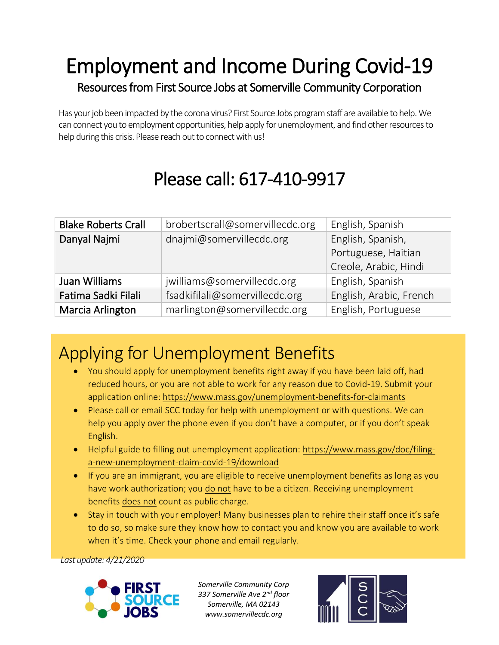## Employment and Income During Covid-19 Resources from First Source Jobs at Somerville Community Corporation

Has your job been impacted by the corona virus? First Source Jobs program staff are available to help. We can connect you to employment opportunities, help apply for unemployment, and find other resources to help during this crisis. Please reach out to connect with us!

# Please call: 617-410-9917

| <b>Blake Roberts Crall</b> | brobertscrall@somervillecdc.org | English, Spanish        |
|----------------------------|---------------------------------|-------------------------|
| Danyal Najmi               | dnajmi@somervillecdc.org        | English, Spanish,       |
|                            |                                 | Portuguese, Haitian     |
|                            |                                 | Creole, Arabic, Hindi   |
| Juan Williams              | jwilliams@somervillecdc.org     | English, Spanish        |
| Fatima Sadki Filali        | fsadkifilali@somervillecdc.org  | English, Arabic, French |
| Marcia Arlington           | marlington@somervillecdc.org    | English, Portuguese     |

## Applying for Unemployment Benefits

- You should apply for unemployment benefits right away if you have been laid off, had reduced hours, or you are not able to work for any reason due to Covid-19. Submit your application online: <https://www.mass.gov/unemployment-benefits-for-claimants>
- Please call or email SCC today for help with unemployment or with questions. We can help you apply over the phone even if you don't have a computer, or if you don't speak English.
- Helpful guide to filling out unemployment application: [https://www.mass.gov/doc/filing](https://www.mass.gov/doc/filing-a-new-unemployment-claim-covid-19/download)[a-new-unemployment-claim-covid-19/download](https://www.mass.gov/doc/filing-a-new-unemployment-claim-covid-19/download)
- If you are an immigrant, you are eligible to receive unemployment benefits as long as you have work authorization; you do not have to be a citizen. Receiving unemployment benefits does not count as public charge.
- Stay in touch with your employer! Many businesses plan to rehire their staff once it's safe to do so, so make sure they know how to contact you and know you are available to work when it's time. Check your phone and email regularly.

*Last update: 4/21/2020*



*Somerville Community Corp 337 Somerville Ave 2nd floor Somerville, MA 02143 www.somervillecdc.org*